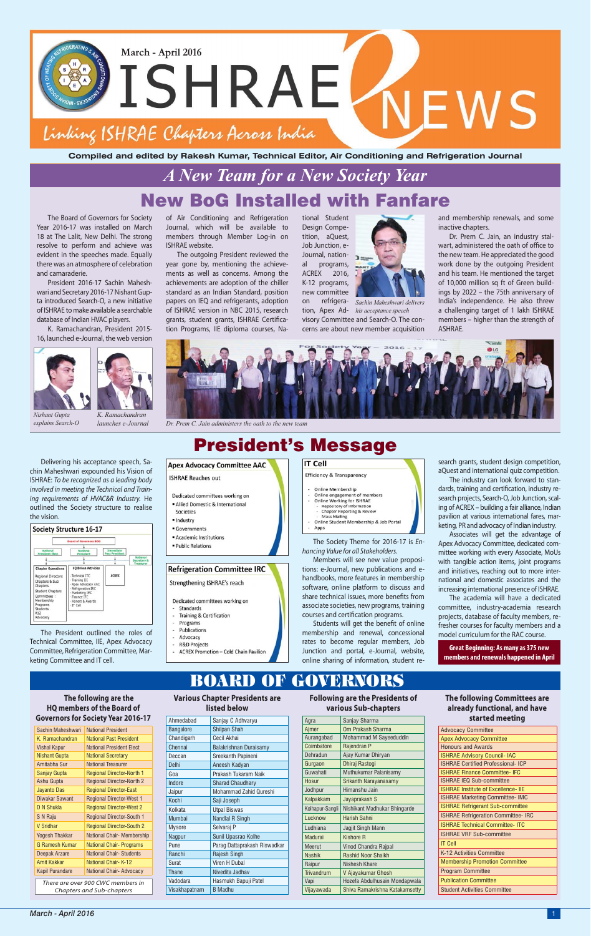tional Student Design Competition, aQuest, Job Junction, e-Journal, national programs, ACREX 2016, K-12 programs, new committee

on refrigera-*Sachin Maheshwari delivers*  tion, Apex Ad-*his acceptance speech* visory Committee and Search-O. The concerns are about new member acquisition

# New BoG Installed with Fanfare *A New Team for a New Society Year*

# President's Message

#### **IT Cell Apex Advocacy Committee AAC** Efficiency & Transparency

**ISHRAE Reaches out** 

- Dedicated committees working on · Allied Domestic & International
- Societies · Industry
- · Governments
- Academic Institutions
- · Public Relations

#### **Refrigeration Committee IRC**

Strengthening ISHRAE's reach

- Dedicated committees working on
- Standards **Training & Certification**
- $\bar{\omega}$ Programs
- Publications Advocacy
- **R&D Projects**
- **ACREX Promotion Cold Chain Pavilion**

The Board of Governors for Society Year 2016-17 was installed on March 18 at The Lalit, New Delhi. The strong resolve to perform and achieve was evident in the speeches made. Equally there was an atmosphere of celebration and camaraderie.

President 2016-17 Sachin Maheshwari and Secretary 2016-17 Nishant Gupta introduced Search-O, a new initiative of ISHRAE to make available a searchable database of Indian HVAC players.

K. Ramachandran, President 2015- 16, launched e-Journal, the web version





Delivering his acceptance speech, Sachin Maheshwari expounded his Vision of ISHRAE: *To be recognized as a leading body involved in meeting the Technical and Training requirements of HVAC&R Industry.* He outlined the Society structure to realise the vision.



The President outlined the roles of Technical Committee, IIE, Apex Advocacy Committee, Refrigeration Committee, Marketing Committee and IT cell.

**Compiled and edited by Rakesh Kumar, Technical Editor, Air Conditioning and Refrigeration Journal**



**Great Beginning: As many as 375 new members and renewals happened in April**

of Air Conditioning and Refrigeration Journal, which will be available to members through Member Log-in on ISHRAE website.

# **Various Chapter Presidents are**  BOARD OF GOVERNO

Agra

The outgoing President reviewed the year gone by, mentioning the achievements as well as concerns. Among the achievements are adoption of the chiller standard as an Indian Standard, position papers on IEQ and refrigerants, adoption of ISHRAE version in NBC 2015, research grants, student grants, ISHRAE Certification Programs, IIE diploma courses, Na-

*Nishant Gupta explains Search-O* *K. Ramachandran* 

*launches e-Journal Dr. Prem C. Jain administers the oath to the new team*

search grants, student design competition, aQuest and international quiz competition.

The industry can look forward to standards, training and certification, industry research projects, Search-O, Job Junction, scaling of ACREX – building a fair alliance, Indian pavilion at various international fares, marketing, PR and advocacy of Indian industry.

Associates will get the advantage of Apex Advocacy Committee, dedicated committee working with every Associate, MoUs with tangible action items, joint programs and initiatives, reaching out to more international and domestic associates and the increasing international presence of ISHRAE.

The academia will have a dedicated committee, industry-academia research projects, database of faculty members, refresher courses for faculty members and a model curriculum for the RAC course.

and membership renewals, and some inactive chapters.

Dr. Prem C. Jain, an industry stalwart, administered the oath of office to the new team. He appreciated the good work done by the outgoing President and his team. He mentioned the target of 10,000 million sq ft of Green buildings by 2022 – the 75th anniversary of India's independence. He also threw a challenging target of 1 lakh ISHRAE members – higher than the strength of ASHRAE.



**The following are the HQ members of the Board of Governors for Society Year 2016-17**

Sachin Maheshwari | National President

**Following are the Presidents of** 

| various Sub-chapters |                                                                               |  |  |  |
|----------------------|-------------------------------------------------------------------------------|--|--|--|
|                      | Sanjay Sharma                                                                 |  |  |  |
| .                    | $Q_{\text{max}}$ , $Q_{\text{max}}$ and $Q_{\text{max}}$ and $Q_{\text{max}}$ |  |  |  |

**The following Committees are already functional, and have started meeting**

*There are over 900 CWC members in Chapters and Sub-chapters*

| K. Ramachandran        | <b>National Past President</b>   |
|------------------------|----------------------------------|
| <b>Vishal Kapur</b>    | <b>National President Elect</b>  |
| <b>Nishant Gupta</b>   | <b>National Secretary</b>        |
| Amitabha Sur           | <b>National Treasurer</b>        |
| Sanjay Gupta           | <b>Regional Director-North 1</b> |
| Ashu Gupta             | <b>Regional Director-North 2</b> |
| <b>Jayanto Das</b>     | <b>Regional Director-East</b>    |
| Diwakar Sawant         | <b>Regional Director-West 1</b>  |
| D N Shukla             | <b>Regional Director-West 2</b>  |
| S N Raju               | <b>Regional Director-South 1</b> |
| V Sridhar              | <b>Regional Director-South 2</b> |
| <b>Yogesh Thakkar</b>  | National Chair- Membership       |
| G Ramesh Kumar         | <b>National Chair- Programs</b>  |
| Deepak Arzare          | <b>National Chair- Students</b>  |
| Amit Kakkar            | National Chair- K-12             |
| <b>Kapil Purandare</b> | <b>National Chair-Advocacy</b>   |
|                        |                                  |

|  | listed below     |                              |  |  |
|--|------------------|------------------------------|--|--|
|  | Ahmedahad        | Sanjay C Adhvaryu            |  |  |
|  | <b>Bangalore</b> | Shilpan Shah                 |  |  |
|  | Chandigarh       | Cecil Akhai                  |  |  |
|  | Chennai          | Balakrishnan Duraisamy       |  |  |
|  | Deccan           | Sreekanth Papineni           |  |  |
|  | Delhi            | Aneesh Kadyan                |  |  |
|  | Goa              | Prakash Tukaram Naik         |  |  |
|  | Indore           | <b>Sharad Chaudhary</b>      |  |  |
|  | Jaipur           | Mohammad Zahid Qureshi       |  |  |
|  | Kochi            | Saji Joseph                  |  |  |
|  | Kolkata          | <b>Utpal Biswas</b>          |  |  |
|  | <b>Mumbai</b>    | Nandlal R Singh              |  |  |
|  | <b>Mysore</b>    | Selvaraj P                   |  |  |
|  | Nagpur           | Sunil Upasrao Kolhe          |  |  |
|  | Pune             | Parag Dattaprakash Riswadkar |  |  |
|  | Ranchi           | Rajesh Singh                 |  |  |
|  | Surat            | Viren H Dubal                |  |  |
|  | Thane            | Nivedita Jadhav              |  |  |
|  | Vadodara         | Hasmukh Bapuji Patel         |  |  |
|  | Visakhapatnam    | <b>B</b> Madhu               |  |  |

| <b>Advocacy Committee</b>                  |  |  |
|--------------------------------------------|--|--|
| <b>Apex Advocacy Committee</b>             |  |  |
| <b>Honours and Awards</b>                  |  |  |
| <b>ISHRAE Advisory Council- IAC</b>        |  |  |
| <b>ISHRAE Certified Professional- ICP</b>  |  |  |
| <b>ISHRAE Finance Committee- IFC</b>       |  |  |
| <b>ISHRAE IEQ Sub-committee</b>            |  |  |
| <b>ISHRAE Institute of Excellence- IIE</b> |  |  |
| <b>ISHRAE Marketing Committee- IMC</b>     |  |  |
| <b>ISHRAE Refrigerant Sub-committee</b>    |  |  |
| <b>ISHRAE Refrigeration Committee-IRC</b>  |  |  |
| <b>ISHRAE Technical Committee- ITC</b>     |  |  |
| <b>ISHRAE VRF Sub-committee</b>            |  |  |
| <b>IT Cell</b>                             |  |  |
| K-12 Activities Committee                  |  |  |
| <b>Membership Promotion Committee</b>      |  |  |
| <b>Program Committee</b>                   |  |  |
| <b>Publication Committee</b>               |  |  |
| <b>Student Activities Committee</b>        |  |  |

| Aimer           | Om Prakash Sharma              |
|-----------------|--------------------------------|
| Aurangabad      | Mohammad M Sayeeduddin         |
| Coimbatore      | Rajendran P                    |
| Dehradun        | Ajay Kumar Dhiryan             |
| Gurgaon         | Dhiraj Rastogi                 |
| Guwahati        | Muthukumar Palanisamy          |
| Hosur           | Srikanth Narayanasamy          |
| Jodhpur         | Himanshu Jain                  |
| Kalpakkam       | Jayaprakash S                  |
| Kolhapur-Sangli | Nishikant Madhukar Bhingarde   |
| Lucknow         | <b>Harish Sahni</b>            |
| Ludhiana        | Jagjit Singh Mann              |
| Madurai         | <b>Kishore R</b>               |
| <b>Meerut</b>   | <b>Vinod Chandra Rajpal</b>    |
| <b>Nashik</b>   | <b>Rashid Noor Shaikh</b>      |
| Raipur          | Nishesh Khare                  |
| Trivandrum      | V Ajayakumar Ghosh             |
| Vapi            | Hozefa Abdulhusain Mondapwala  |
| Vijayawada      | Shiva Ramakrishna Katakamsetty |



- Repository of mitorimation<br>Chapter Reporting & Review<br>- Mass Mailing<br>Online Student Membership & Job Portal

**Online Membership** Online engagement of members

Apps

**Online Working for ISHRAE** 

Repository of Information

share technical issues, more benefits from associate societies, new programs, training courses and certification programs. Students will get the benefit of online

membership and renewal, concessional rates to become regular members, Job Junction and portal, e-Journal, website, online sharing of information, student re-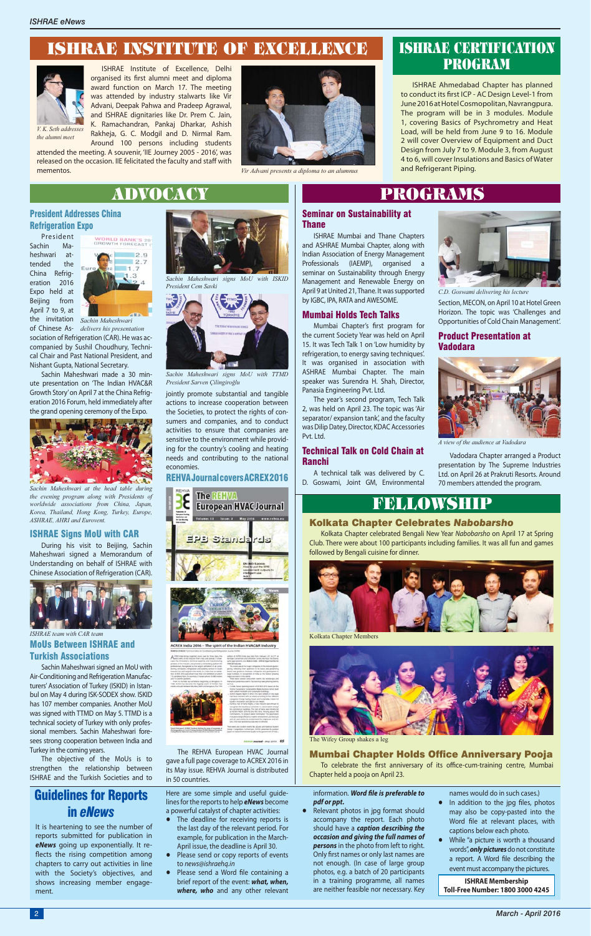Section, MECON, on April 10 at Hotel Green Horizon. The topic was 'Challenges and Opportunities of Cold Chain Management'.

### Product Presentation at Vadodara

## President Addresses China Refrigeration Expo

President Sachin Maheshwari attended China Refrigeration 2016 Expo held at Beijing from April 7 to 9, at



of Chinese As-*delivers his presentation* sociation of Refrigeration (CAR). He was accompanied by Sushil Choudhury, Technical Chair and Past National President, and Nishant Gupta, National Secretary.

Sachin Maheshwari made a 30 minute presentation on 'The Indian HVAC&R Growth Story' on April 7 at the China Refrigeration 2016 Forum, held immediately after the grand opening ceremony of the Expo.

### ISHRAE Signs MoU with CAR

During his visit to Beijing, Sachin Maheshwari signed a Memorandum of Understanding on behalf of ISHRAE with Chinese Association of Refrigeration (CAR).

Sachin Maheshwari signed an MoU with Air-Conditioning and Refrigeration Manufacturers' Association of Turkey (ISKID) in Istanbul on May 4 during ISK-SODEX show. ISKID has 107 member companies. Another MoU was signed with TTMD on May 5. TTMD is a technical society of Turkey with only professional members. Sachin Maheshwari foresees strong cooperation between India and Turkey in the coming years.

Mumbai Chapter's first program for the current Society Year was held on April 15. It was Tech Talk 1 on 'Low humidity by refrigeration, to energy saving techniques'. It was organised in association with ASHRAE Mumbai Chapter. The main speaker was Surendra H. Shah, Director, Panasia Engineering Pvt. Ltd.



MoUs Between ISHRAE and Turkish Associations *ISHRAE team with CAR team*

The objective of the MoUs is to strengthen the relationship between ISHRAE and the Turkish Societies and to

Mumbai Chapter Holds Office Anniversary Pooja To celebrate the first anniversary of its office-cum-training centre, Mumbai



*Sachin Maheshwari at the head table during the evening program along with Presidents of worldwide associations from China, Japan, Korea, Thailand, Hong Kong, Turkey, Europe, ASHRAE, AHRI and Eurovent.*







*C.D. Goswami delivering his lecture*



*A view of the audience at Vadodara*

the invitation *Sachin Maheshwari* 

*Sachin Maheshwari signs MoU with TTMD President Sarven Çilingiroğlu*

Thane ISHRAE Mumbai and Thane Chapters and ASHRAE Mumbai Chapter, along with Indian Association of Energy Management Professionals (IAEMP), organised a seminar on Sustainability through Energy Management and Renewable Energy on April 9 at United 21, Thane. It was supported by IGBC, IPA, RATA and AWESOME.

### Mumbai Holds Tech Talks

# Seminar on Sustainability at ADVOCACY PROGRAMS

The year's second program, Tech Talk 2, was held on April 23. The topic was 'Air separator/ expansion tank', and the faculty was Dilip Datey, Director, KDAC Accessories Pvt. Ltd.

### Technical Talk on Cold Chain at Ranchi

A technical talk was delivered by C. D. Goswami, Joint GM, Environmental

## Kolkata Chapter Celebrates *Nabobarsho*

#### information. Word file is preferable to *pdf or ppt.*

Kolkata Chapter celebrated Bengali New Year *Nabobarsho* on April 17 at Spring Club. There were about 100 participants including families. It was all fun and games followed by Bengali cuisine for dinner.

Chapter held a pooja on April 23.

# FELLOWSHIP

- In addition to the jpg files, photos may also be copy-pasted into the Word file at relevant places, with captions below each photo.
- **•** While "a picture is worth a thousand words", *only pictures* do not constitute a report. A Word file describing the event must accompany the pictures.

jointly promote substantial and tangible actions to increase cooperation between the Societies, to protect the rights of consumers and companies, and to conduct activities to ensure that companies are sensitive to the environment while providing for the country's cooling and heating needs and contributing to the national economies.

## REHVA Journal covers ACREX 2016





ia 2016 - The spirit of the Indian HVAC&R I



The REHVA European HVAC Journal gave a full page coverage to ACREX 2016 in its May issue. REHVA Journal is distributed in 50 countries.

Vadodara Chapter arranged a Product presentation by The Supreme Industries Ltd. on April 26 at Prakruti Resorts. Around 70 members attended the program.



Kolkata Chapter Members



The Wifey Group shakes a leg

ISHRAE Ahmedabad Chapter has planned to conduct its first ICP - AC Design Level-1 from June 2016 at Hotel Cosmopolitan, Navrangpura. The program will be in 3 modules. Module 1, covering Basics of Psychrometry and Heat Load, will be held from June 9 to 16. Module 2 will cover Overview of Equipment and Duct Design from July 7 to 9. Module 3, from August 4 to 6, will cover Insulations and Basics of Water and Refrigerant Piping.

# ISHRAE CERTIFICATION PROGRAM

# ISHRAE INSTITUTE OF EXCELLENCE

ISHRAE Institute of Excellence, Delhi organised its first alumni meet and diploma award function on March 17. The meeting was attended by industry stalwarts like Vir Advani, Deepak Pahwa and Pradeep Agrawal, and ISHRAE dignitaries like Dr. Prem C. Jain, K. Ramachandran, Pankaj Dharkar, Ashish Rakheja, G. C. Modgil and D. Nirmal Ram.

Around 100 persons including students attended the meeting. A souvenir, 'IIE Journey 2005 - 2016', was released on the occasion. IIE felicitated the faculty and staff with mementos.





*the alumni meet*

*Vir Advani presents a diploma to an alumnus*

# Guidelines for Reports in *eNews*

It is heartening to see the number of reports submitted for publication in *eNews* going up exponentially. It reflects the rising competition among chapters to carry out activities in line with the Society's objectives, and shows increasing member engagement.

Here are some simple and useful guidelines for the reports to help *eNews* become a powerful catalyst of chapter activities:

- **•** The deadline for receiving reports is the last day of the relevant period. For example, for publication in the March-April issue, the deadline is April 30.
- **•** Please send or copy reports of events to *news@ishraehq.in*
- Please send a Word file containing a brief report of the event: *what, when, where, who* and any other relevant

**•** Relevant photos in jpg format should accompany the report. Each photo should have a *caption describing the occasion and giving the full names of persons* in the photo from left to right. Only first names or only last names are not enough. (In case of large group photos, e.g. a batch of 20 participants in a training programme, all names are neither feasible nor necessary. Key names would do in such cases.)

**ISHRAE Membership Toll-Free Number: 1800 3000 4245**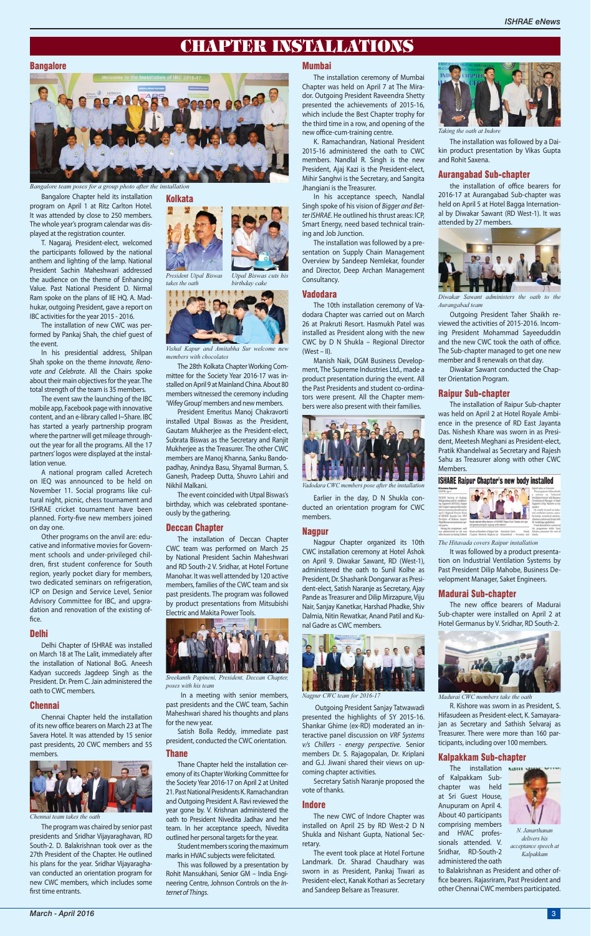Bangalore Chapter held its installation program on April 1 at Ritz Carlton Hotel. It was attended by close to 250 members. The whole year's program calendar was displayed at the registration counter.

T. Nagaraj, President-elect, welcomed the participants followed by the national anthem and lighting of the lamp. National President Sachin Maheshwari addressed the audience on the theme of Enhancing Value. Past National President D. Nirmal Ram spoke on the plans of IIE HQ. A. Madhukar, outgoing President, gave a report on IBC activities for the year 2015 - 2016.

The installation of new CWC was performed by Pankaj Shah, the chief guest of the event.

Other programs on the anvil are: educative and informative movies for Government schools and under-privileged children, first student conference for South region, yearly pocket diary for members, two dedicated seminars on refrigeration, ICP on Design and Service Level, Senior Advisory Committee for IBC, and upgradation and renovation of the existing office.

In his presidential address, Shilpan Shah spoke on the theme *Innovate, Renovate and Celebrate*. All the Chairs spoke about their main objectives for the year. The total strength of the team is 35 members.

Chennai Chapter held the installation of its new office bearers on March 23 at The **Kolkata** 

Чu

The event saw the launching of the IBC mobile app, Facebook page with innovative content, and an e-library called I~Share. IBC has started a yearly partnership program where the partner will get mileage throughout the year for all the programs. All the 17 partners' logos were displayed at the installation venue.

The program was chaired by senior past presidents and Sridhar Vijayaraghavan, RD South-2. D. Balakrishnan took over as the 27th President of the Chapter. He outlined his plans for the year. Sridhar Vijayaraghavan conducted an orientation program for new CWC members, which includes some first time entrants.

A national program called Acretech on IEQ was announced to be held on November 11. Social programs like cultural night, picnic, chess tournament and ISHRAE cricket tournament have been planned. Forty-five new members joined on day one.

#### Delhi

Delhi Chapter of ISHRAE was installed on March 18 at The Lalit, immediately after the installation of National BoG. Aneesh Kadyan succeeds Jagdeep Singh as the President. Dr. Prem C. Jain administered the oath to CWC members.

#### Chennai

Savera Hotel. It was attended by 15 senior past presidents, 20 CWC members and 55 members.

The installation ceremony of Mumbai Chapter was held on April 7 at The Mirador. Outgoing President Raveendra Shetty presented the achievements of 2015-16, which include the Best Chapter trophy for the third time in a row, and opening of the new office-cum-training centre.

The 10th installation ceremony of Vadodara Chapter was carried out on March 26 at Prakruti Resort. Hasmukh Patel was installed as President along with the new CWC by D N Shukla – Regional Director  $(West - II)$ .

The 28th Kolkata Chapter Working Committee for the Society Year 2016-17 was installed on April 9 at Mainland China. About 80 members witnessed the ceremony including 'Wifey Group' members and new members.

President Emeritus Manoj Chakravorti installed Utpal Biswas as the President, Gautam Mukherjee as the President-elect, Subrata Biswas as the Secretary and Ranjit Mukherjee as the Treasurer. The other CWC members are Manoj Khanna, Sanku Bandopadhay, Anindya Basu, Shyamal Burman, S. Ganesh, Pradeep Dutta, Shuvro Lahiri and Nikhil Malkani.

The event coincided with Utpal Biswas's birthday, which was celebrated spontaneously by the gathering.

#### Deccan Chapter

The installation of Deccan Chapter CWC team was performed on March 25 by National President Sachin Maheshwari and RD South-2 V. Sridhar, at Hotel Fortune Manohar. It was well attended by 120 active members, families of the CWC team and six past presidents. The program was followed by product presentations from Mitsubishi Electric and Makita Power Tools.



the installation of office bearers for 2016-17 at Aurangabad Sub-chapter was held on April 5 at Hotel Bagga International by Diwakar Sawant (RD West-1). It was attended by 27 members.

 In a meeting with senior members, past presidents and the CWC team, Sachin Maheshwari shared his thoughts and plans for the new year.

Satish Bolla Reddy, immediate past president, conducted the CWC orientation.

### Thane

Thane Chapter held the installation ceremony of its Chapter Working Committee for the Society Year 2016-17 on April 2 at United 21. Past National Presidents K. Ramachandran and Outgoing President A. Ravi reviewed the year gone by. V. Krishnan administered the oath to President Nivedita Jadhav and her team. In her acceptance speech, Nivedita outlined her personal targets for the year.

The new office bearers of Madurai Sub-chapter were installed on April 2 at Hotel Germanus by V. Sridhar, RD South-2.



Student members scoring the maximum marks in HVAC subjects were felicitated.

The installation want of Kalpakkam Subchapter was held at Sri Guest House, Anupuram on April 4. About 40 participants comprising members and HVAC professionals attended. V. Sridhar, RD-South-2 administered the oath



This was followed by a presentation by Rohit Mansukhani, Senior GM – India Engineering Centre, Johnson Controls on the *Internet of Things*.

#### Mumbai

K. Ramachandran, National President 2015-16 administered the oath to CWC members. Nandlal R. Singh is the new President, Ajaj Kazi is the President-elect, Mihir Sanghvi is the Secretary, and Sangita Jhangiani is the Treasurer.

In his acceptance speech, Nandlal Singh spoke of his vision of *Bigger and Better ISHRAE*. He outlined his thrust areas: ICP, Smart Energy, need based technical training and Job Junction.

The installation was followed by a presentation on Supply Chain Management Overview by Sandeep Nemlekar, founder and Director, Deep Archan Management Consultancy.

#### Vadodara

Manish Naik, DGM Business Development, The Supreme Industries Ltd., made a product presentation during the event. All the Past Presidents and student co-ordinators were present. All the Chapter members were also present with their families.

Earlier in the day, D N Shukla conducted an orientation program for CWC members.

#### Nagpur

Nagpur Chapter organized its 10th CWC installation ceremony at Hotel Ashok on April 9. Diwakar Sawant, RD (West-1), administered the oath to Sunil Kolhe as President, Dr. Shashank Dongarwar as President-elect, Satish Naranje as Secretary, Ajay Pande as Treasurer and Dilip Mirzapure, Viju Nair, Sanjay Kanetkar, Harshad Phadke, Shiv Dalmia, Nitin Rewatkar, Anand Patil and Kunal Gadre as CWC members.



 Outgoing President Sanjay Tatwawadi presented the highlights of SY 2015-16. Shankar Ghime (ex-RD) moderated an in-

teractive panel discussion on *VRF Systems v/s Chillers - energy perspective*. Senior members Dr. S. Rajagopalan, Dr. Kriplani and G.J. Jiwani shared their views on upcoming chapter activities.

Secretary Satish Naranje proposed the vote of thanks.

# Indore

The new CWC of Indore Chapter was installed on April 25 by RD West-2 D N Shukla and Nishant Gupta, National Secretary.

The event took place at Hotel Fortune Landmark. Dr. Sharad Chaudhary was sworn in as President, Pankaj Tiwari as President-elect, Kanak Kothari as Secretary and Sandeep Belsare as Treasurer.

The installation was followed by a Daikin product presentation by Vikas Gupta and Rohit Saxena.

#### Aurangabad Sub-chapter

Outgoing President Taher Shaikh reviewed the activities of 2015-2016. Incoming President Mohammad Sayeeduddin and the new CWC took the oath of office. The Sub-chapter managed to get one new member and 8 renewals on that day.

Diwakar Sawant conducted the Chapter Orientation Program.

#### Raipur Sub-chapter

The installation of Raipur Sub-chapter was held on April 2 at Hotel Royale Ambience in the presence of RD East Jayanta Das. Nishesh Khare was sworn in as President, Meetesh Meghani as President-elect, Pratik Khandelwal as Secretary and Rajesh Sahu as Treasurer along with other CWC Members.

#### **ISHARE Raipur Chapter's new body installed**



It was followed by a product presentation on Industrial Ventilation Systems by Past President Dilip Mahobe, Business Development Manager, Saket Engineers.

#### Madurai Sub-chapter

R. Kishore was sworn in as President, S. Hifasudeen as President-elect, K. Samayarajan as Secretary and Sathish Selvaraj as

Treasurer. There were more than 160 participants, including over 100 members.

# Kalpakkam Sub-chapter

to Balakrishnan as President and other office bearers. Rajasriram, Past President and other Chennai CWC members participated.

# **CHAPTER INSTALLATIONS**

**Bangalore** 



*Bangalore team poses for a group photo after the installation*



*Taking the oath at Indore*



*Diwakar Sawant administers the oath to the Aurangabad team*



*Vishal Kapur and Amitabha Sur welcome new members with chocolates*



*President Utpal Biswas takes the oath birthday cake*

*The Hitavada covers Raipur installation*

*Nagpur CWC team for 2016-17 Madurai CWC members take the oath*



*Vadodara CWC members pose after the installation*

*Sreekanth Papineni, President, Deccan Chapter, poses with his team*



*Chennai team takes the oath*

*N. Janarthanan delivers his acceptance speech at Kalpakkam*